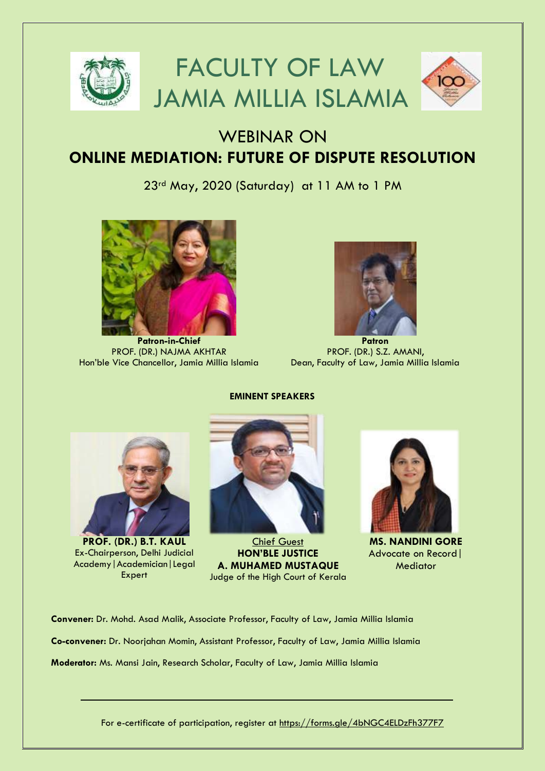

# WEBINAR ON **ONLINE MEDIATION: FUTURE OF DISPUTE RESOLUTION**

23rd May, 2020 (Saturday) at 11 AM to 1 PM



**Patron-in-Chief** PROF. (DR.) NAJMA AKHTAR Hon'ble Vice Chancellor, Jamia Millia Islamia



**Patron** PROF. (DR.) S.Z. AMANI, Dean, Faculty of Law, Jamia Millia Islamia



**PROF. (DR.) B.T. KAUL** Ex-Chairperson, Delhi Judicial Academy|Academician|Legal **Expert** 



Chief Guest **HON'BLE JUSTICE A. MUHAMED MUSTAQUE** Judge of the High Court of Kerala



**MS. NANDINI GORE** Advocate on Record| **Mediator** 

**Convener:** Dr. Mohd. Asad Malik, Associate Professor, Faculty of Law, Jamia Millia Islamia **Co-convener:** Dr. Noorjahan Momin, Assistant Professor, Faculty of Law, Jamia Millia Islamia **Moderator:** Ms. Mansi Jain, Research Scholar, Faculty of Law, Jamia Millia Islamia

For e-certificate of participation, register at <https://forms.gle/4bNGC4ELDzFh377F7>

#### **EMINENT SPEAKERS**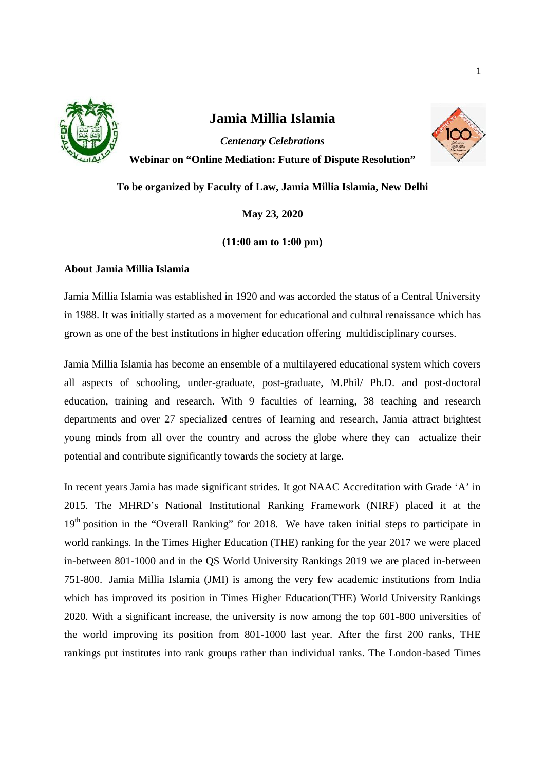

# **Jamia Millia Islamia**



*Centenary Celebrations* **Webinar on "Online Mediation: Future of Dispute Resolution"**

**To be organized by Faculty of Law, Jamia Millia Islamia, New Delhi**

**May 23, 2020**

# **(11:00 am to 1:00 pm)**

# **About Jamia Millia Islamia**

Jamia Millia Islamia was established in 1920 and was accorded the status of a Central University in 1988. It was initially started as a movement for educational and cultural renaissance which has grown as one of the best institutions in higher education offering multidisciplinary courses.

Jamia Millia Islamia has become an ensemble of a multilayered educational system which covers all aspects of schooling, under-graduate, post-graduate, M.Phil/ Ph.D. and post-doctoral education, training and research. With 9 faculties of learning, 38 teaching and research departments and over 27 specialized centres of learning and research, Jamia attract brightest young minds from all over the country and across the globe where they can actualize their potential and contribute significantly towards the society at large.

In recent years Jamia has made significant strides. It got NAAC Accreditation with Grade 'A' in 2015. The MHRD's National Institutional Ranking Framework (NIRF) placed it at the 19<sup>th</sup> position in the "Overall Ranking" for 2018. We have taken initial steps to participate in world rankings. In the Times Higher Education (THE) ranking for the year 2017 we were placed in-between 801-1000 and in the QS World University Rankings 2019 we are placed in-between 751-800. Jamia Millia Islamia (JMI) is among the very few academic institutions from India which has improved its position in Times Higher Education(THE) World University Rankings 2020. With a significant increase, the university is now among the top 601-800 universities of the world improving its position from 801-1000 last year. After the first 200 ranks, THE rankings put institutes into rank groups rather than individual ranks. The London-based Times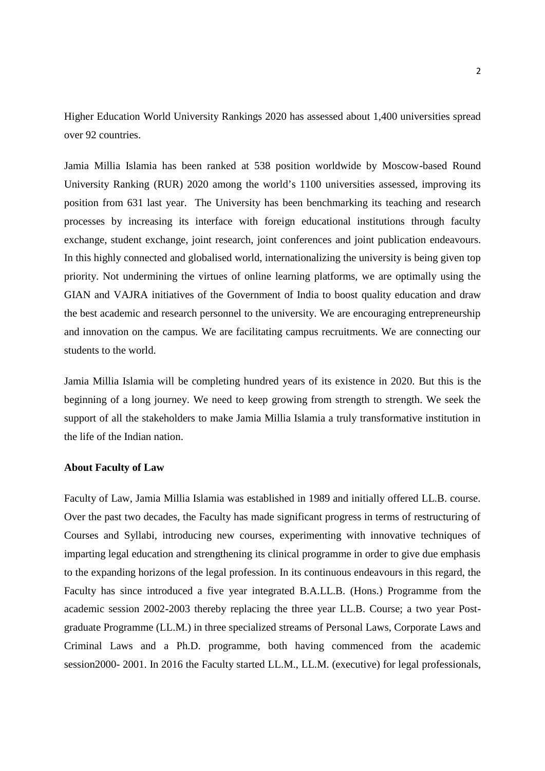Higher Education World University Rankings 2020 has assessed about 1,400 universities spread over 92 countries.

Jamia Millia Islamia has been ranked at 538 position worldwide by Moscow-based Round University Ranking (RUR) 2020 among the world's 1100 universities assessed, improving its position from 631 last year. The University has been benchmarking its teaching and research processes by increasing its interface with foreign educational institutions through faculty exchange, student exchange, joint research, joint conferences and joint publication endeavours. In this highly connected and globalised world, internationalizing the university is being given top priority. Not undermining the virtues of online learning platforms, we are optimally using the GIAN and VAJRA initiatives of the Government of India to boost quality education and draw the best academic and research personnel to the university. We are encouraging entrepreneurship and innovation on the campus. We are facilitating campus recruitments. We are connecting our students to the world.

Jamia Millia Islamia will be completing hundred years of its existence in 2020. But this is the beginning of a long journey. We need to keep growing from strength to strength. We seek the support of all the stakeholders to make Jamia Millia Islamia a truly transformative institution in the life of the Indian nation.

#### **About Faculty of Law**

Faculty of Law, Jamia Millia Islamia was established in 1989 and initially offered LL.B. course. Over the past two decades, the Faculty has made significant progress in terms of restructuring of Courses and Syllabi, introducing new courses, experimenting with innovative techniques of imparting legal education and strengthening its clinical programme in order to give due emphasis to the expanding horizons of the legal profession. In its continuous endeavours in this regard, the Faculty has since introduced a five year integrated B.A.LL.B. (Hons.) Programme from the academic session 2002-2003 thereby replacing the three year LL.B. Course; a two year Post graduate Programme (LL.M.) in three specialized streams of Personal Laws, Corporate Laws and Criminal Laws and a Ph.D. programme, both having commenced from the academic session2000- 2001. In 2016 the Faculty started LL.M., LL.M. (executive) for legal professionals,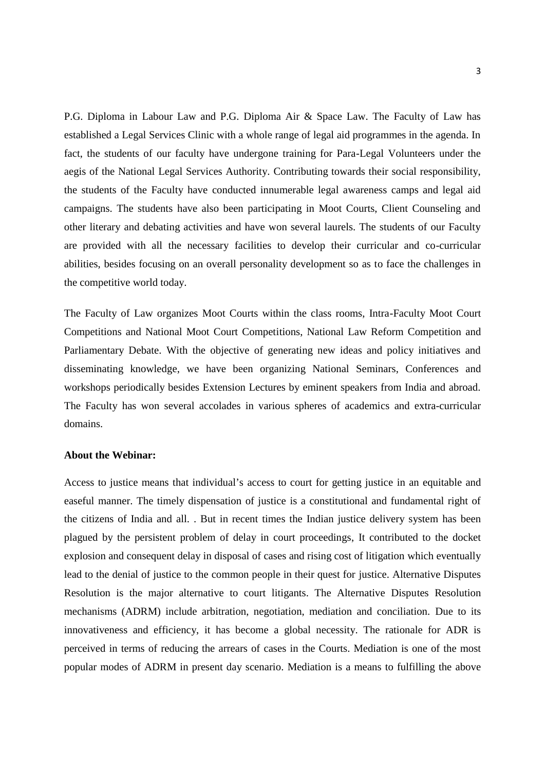P.G. Diploma in Labour Law and P.G. Diploma Air & Space Law. The Faculty of Law has established a Legal Services Clinic with a whole range of legal aid programmes in the agenda. In fact, the students of our faculty have undergone training for Para-Legal Volunteers under the aegis of the National Legal Services Authority. Contributing towards their social responsibility, the students of the Faculty have conducted innumerable legal awareness camps and legal aid campaigns. The students have also been participating in Moot Courts, Client Counseling and other literary and debating activities and have won several laurels. The students of our Faculty are provided with all the necessary facilities to develop their curricular and co-curricular abilities, besides focusing on an overall personality development so as to face the challenges in the competitive world today.

The Faculty of Law organizes Moot Courts within the class rooms, Intra-Faculty Moot Court Competitions and National Moot Court Competitions, National Law Reform Competition and Parliamentary Debate. With the objective of generating new ideas and policy initiatives and disseminating knowledge, we have been organizing National Seminars, Conferences and workshops periodically besides Extension Lectures by eminent speakers from India and abroad. The Faculty has won several accolades in various spheres of academics and extra-curricular domains.

#### **About the Webinar:**

Access to justice means that individual's access to court for getting justice in an equitable and easeful manner. The timely dispensation of justice is a constitutional and fundamental right of the citizens of India and all. . But in recent times the Indian justice delivery system has been plagued by the persistent problem of delay in court proceedings, It contributed to the docket explosion and consequent delay in disposal of cases and rising cost of litigation which eventually lead to the denial of justice to the common people in their quest for justice. Alternative Disputes Resolution is the major alternative to court litigants. The Alternative Disputes Resolution mechanisms (ADRM) include arbitration, negotiation, mediation and conciliation. Due to its innovativeness and efficiency, it has become a global necessity. The rationale for ADR is perceived in terms of reducing the arrears of cases in the Courts. Mediation is one of the most popular modes of ADRM in present day scenario. Mediation is a means to fulfilling the above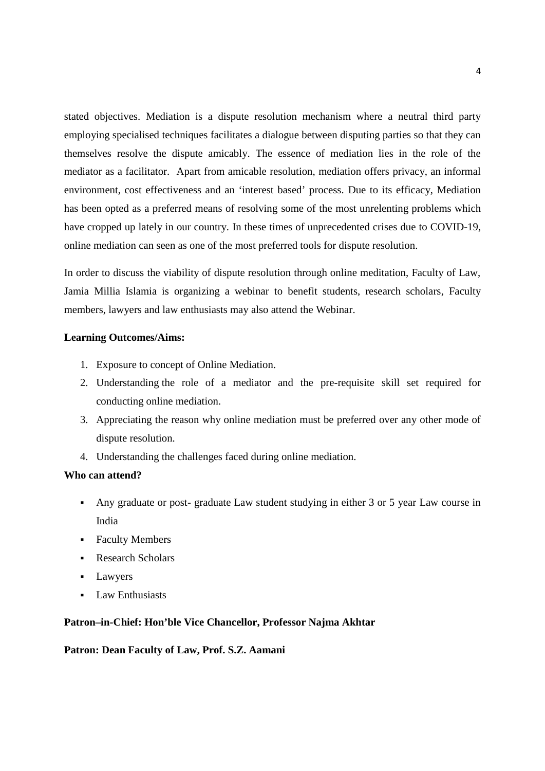stated objectives. Mediation is a dispute resolution mechanism where a neutral third party employing specialised techniques facilitates a dialogue between disputing parties so that they can themselves resolve the dispute amicably. The essence of mediation lies in the role of the mediator as a facilitator. Apart from amicable resolution, mediation offers privacy, an informal environment, cost effectiveness and an 'interest based' process. Due to its efficacy, Mediation has been opted as a preferred means of resolving some of the most unrelenting problems which have cropped up lately in our country. In these times of unprecedented crises due to COVID-19, online mediation can seen as one of the most preferred tools for dispute resolution.

In order to discuss the viability of dispute resolution through online meditation, Faculty of Law, Jamia Millia Islamia is organizing a webinar to benefit students, research scholars, Faculty members, lawyers and law enthusiasts may also attend the Webinar.

#### **Learning Outcomes/Aims:**

- 1. Exposure to concept of Online Mediation.
- 2. Understanding the role of a mediator and the pre-requisite skill set required for conducting online mediation.
- 3. Appreciating the reason why online mediation must be preferred over any other mode of dispute resolution.
- 4. Understanding the challenges faced during online mediation.

## **Who can attend?**

- Any graduate or post- graduate Law student studying in either 3 or 5 year Law course in India
- **Faculty Members**
- Research Scholars
- **Lawyers**
- **Law Enthusiasts**

#### **Patron–in-Chief: Hon'ble Vice Chancellor, Professor Najma Akhtar**

#### **Patron: Dean Faculty of Law, Prof. S.Z. Aamani**